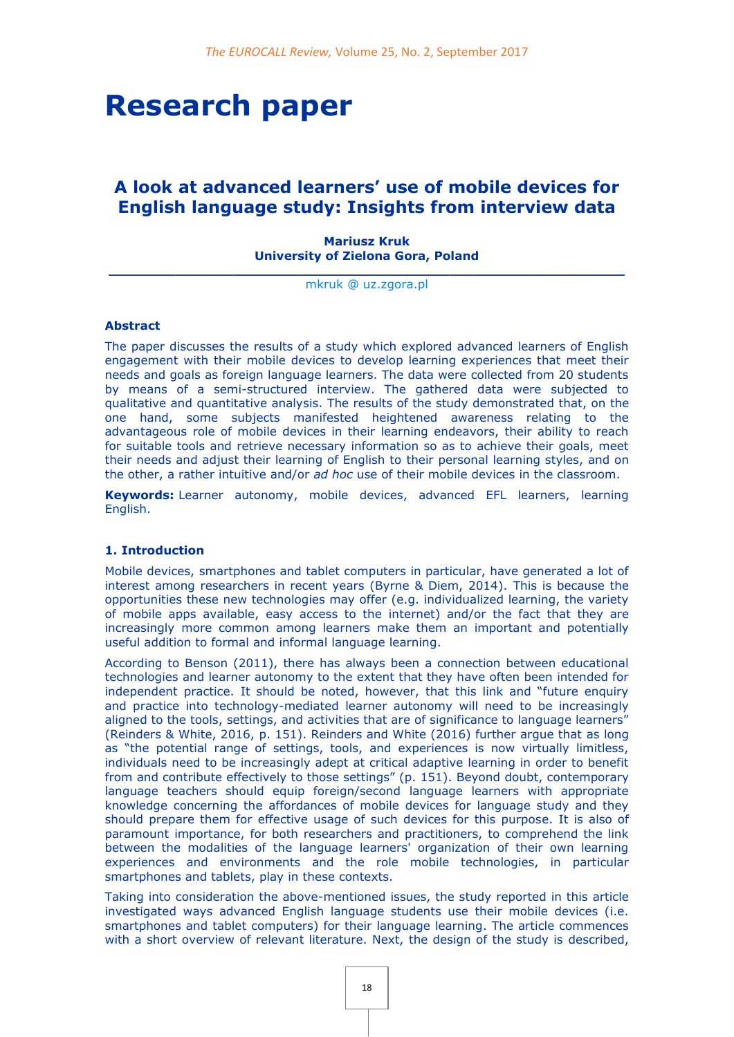# **Research paper**

# **A look at advanced learners' use of mobile devices for English language study: Insights from interview data**

**Mariusz Kruk University of Zielona Gora, Poland**

**\_\_\_\_\_\_\_\_\_\_\_\_\_\_\_\_\_\_\_\_\_\_\_\_\_\_\_\_\_\_\_\_\_\_\_\_\_\_\_\_\_\_\_\_\_\_\_\_\_\_\_\_\_\_\_\_\_\_\_\_\_\_** [mkruk @ uz.zgora.pl](mailto:mkruk@uz.zgora.pl)

#### **Abstract**

The paper discusses the results of a study which explored advanced learners of English engagement with their mobile devices to develop learning experiences that meet their needs and goals as foreign language learners. The data were collected from 20 students by means of a semi-structured interview. The gathered data were subjected to qualitative and quantitative analysis. The results of the study demonstrated that, on the one hand, some subjects manifested heightened awareness relating to the advantageous role of mobile devices in their learning endeavors, their ability to reach for suitable tools and retrieve necessary information so as to achieve their goals, meet their needs and adjust their learning of English to their personal learning styles, and on the other, a rather intuitive and/or *ad hoc* use of their mobile devices in the classroom.

**Keywords:** Learner autonomy, mobile devices, advanced EFL learners, learning English.

#### **1. Introduction**

Mobile devices, smartphones and tablet computers in particular, have generated a lot of interest among researchers in recent years (Byrne & Diem, 2014). This is because the opportunities these new technologies may offer (e.g. individualized learning, the variety of mobile apps available, easy access to the internet) and/or the fact that they are increasingly more common among learners make them an important and potentially useful addition to formal and informal language learning.

According to Benson (2011), there has always been a connection between educational technologies and learner autonomy to the extent that they have often been intended for independent practice. It should be noted, however, that this link and "future enquiry and practice into technology-mediated learner autonomy will need to be increasingly aligned to the tools, settings, and activities that are of significance to language learners" (Reinders & White, 2016, p. 151). Reinders and White (2016) further argue that as long as "the potential range of settings, tools, and experiences is now virtually limitless, individuals need to be increasingly adept at critical adaptive learning in order to benefit from and contribute effectively to those settings" (p. 151). Beyond doubt, contemporary language teachers should equip foreign/second language learners with appropriate knowledge concerning the affordances of mobile devices for language study and they should prepare them for effective usage of such devices for this purpose. It is also of paramount importance, for both researchers and practitioners, to comprehend the link between the modalities of the language learners' organization of their own learning experiences and environments and the role mobile technologies, in particular smartphones and tablets, play in these contexts.

Taking into consideration the above-mentioned issues, the study reported in this article investigated ways advanced English language students use their mobile devices (i.e. smartphones and tablet computers) for their language learning. The article commences with a short overview of relevant literature. Next, the design of the study is described,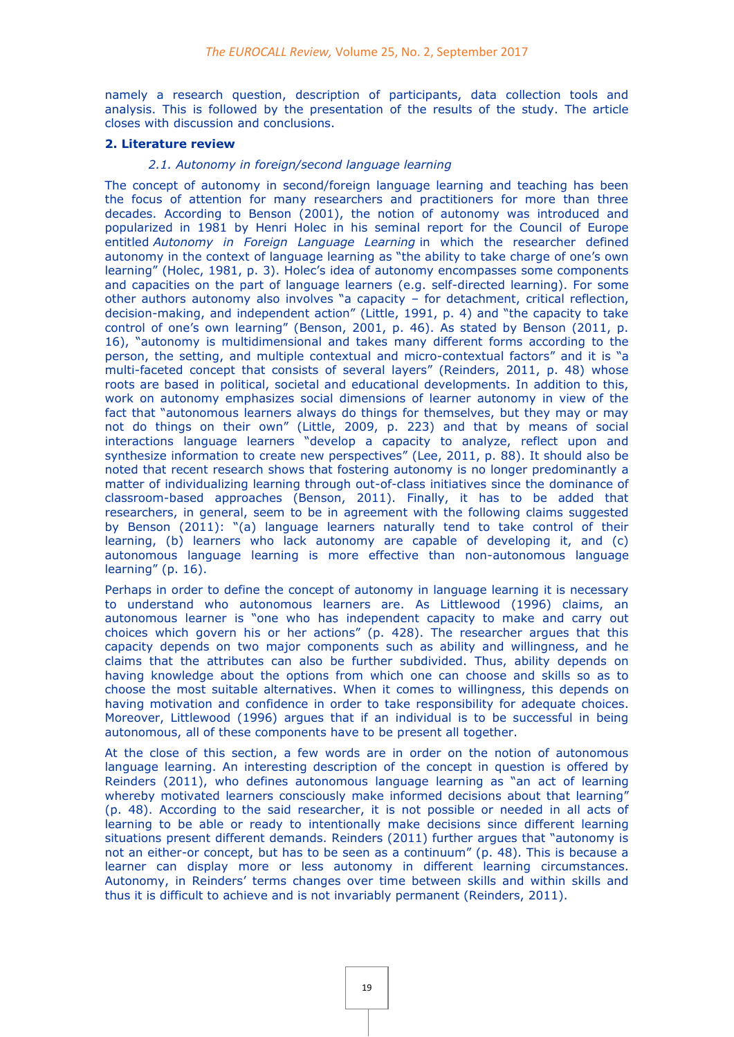namely a research question, description of participants, data collection tools and analysis. This is followed by the presentation of the results of the study. The article closes with discussion and conclusions.

## **2. Literature review**

## *2.1. Autonomy in foreign/second language learning*

The concept of autonomy in second/foreign language learning and teaching has been the focus of attention for many researchers and practitioners for more than three decades. According to Benson (2001), the notion of autonomy was introduced and popularized in 1981 by Henri Holec in his seminal report for the Council of Europe entitled *Autonomy in Foreign Language Learning* in which the researcher defined autonomy in the context of language learning as "the ability to take charge of one's own learning" (Holec, 1981, p. 3). Holec's idea of autonomy encompasses some components and capacities on the part of language learners (e.g. self-directed learning). For some other authors autonomy also involves "a capacity – for detachment, critical reflection, decision-making, and independent action" (Little, 1991, p. 4) and "the capacity to take control of one's own learning" (Benson, 2001, p. 46). As stated by Benson (2011, p. 16), "autonomy is multidimensional and takes many different forms according to the person, the setting, and multiple contextual and micro-contextual factors" and it is "a multi-faceted concept that consists of several layers" (Reinders, 2011, p. 48) whose roots are based in political, societal and educational developments. In addition to this, work on autonomy emphasizes social dimensions of learner autonomy in view of the fact that "autonomous learners always do things for themselves, but they may or may not do things on their own" (Little, 2009, p. 223) and that by means of social interactions language learners "develop a capacity to analyze, reflect upon and synthesize information to create new perspectives" (Lee, 2011, p. 88). It should also be noted that recent research shows that fostering autonomy is no longer predominantly a matter of individualizing learning through out-of-class initiatives since the dominance of classroom-based approaches (Benson, 2011). Finally, it has to be added that researchers, in general, seem to be in agreement with the following claims suggested by Benson (2011): "(a) language learners naturally tend to take control of their learning, (b) learners who lack autonomy are capable of developing it, and (c) autonomous language learning is more effective than non-autonomous language learning" (p. 16).

Perhaps in order to define the concept of autonomy in language learning it is necessary to understand who autonomous learners are. As Littlewood (1996) claims, an autonomous learner is "one who has independent capacity to make and carry out choices which govern his or her actions" (p. 428). The researcher argues that this capacity depends on two major components such as ability and willingness, and he claims that the attributes can also be further subdivided. Thus, ability depends on having knowledge about the options from which one can choose and skills so as to choose the most suitable alternatives. When it comes to willingness, this depends on having motivation and confidence in order to take responsibility for adequate choices. Moreover, Littlewood (1996) argues that if an individual is to be successful in being autonomous, all of these components have to be present all together.

At the close of this section, a few words are in order on the notion of autonomous language learning. An interesting description of the concept in question is offered by Reinders (2011), who defines autonomous language learning as "an act of learning whereby motivated learners consciously make informed decisions about that learning" (p. 48). According to the said researcher, it is not possible or needed in all acts of learning to be able or ready to intentionally make decisions since different learning situations present different demands. Reinders (2011) further argues that "autonomy is not an either-or concept, but has to be seen as a continuum" (p. 48). This is because a learner can display more or less autonomy in different learning circumstances. Autonomy, in Reinders' terms changes over time between skills and within skills and thus it is difficult to achieve and is not invariably permanent (Reinders, 2011).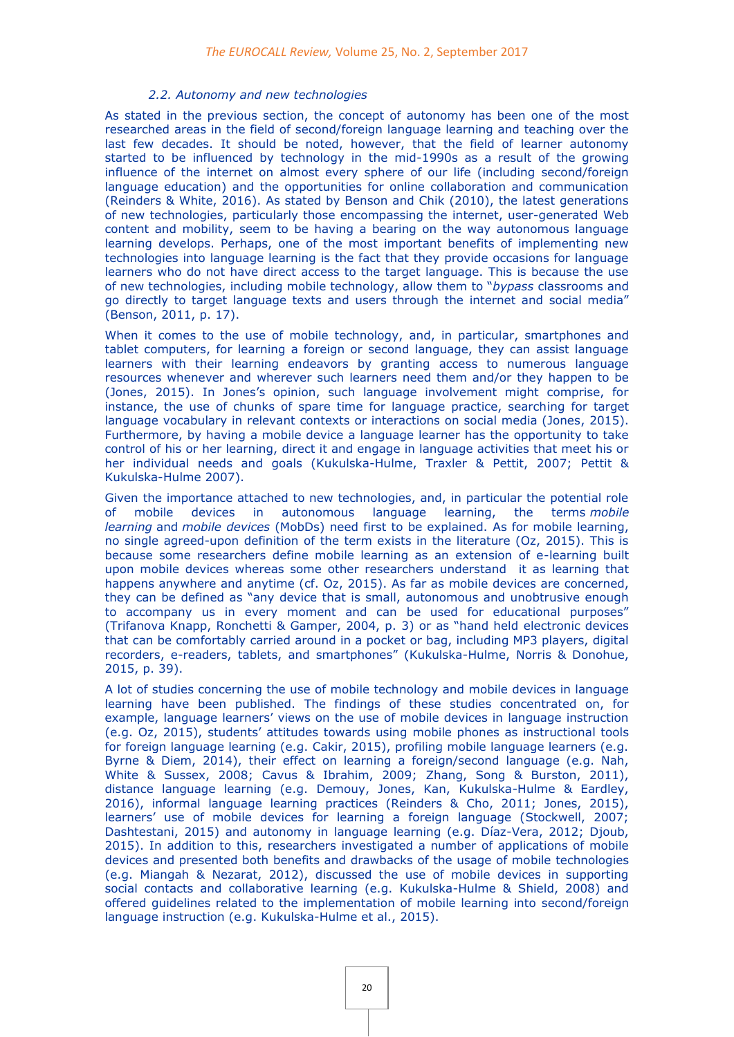# *2.2. Autonomy and new technologies*

As stated in the previous section, the concept of autonomy has been one of the most researched areas in the field of second/foreign language learning and teaching over the last few decades. It should be noted, however, that the field of learner autonomy started to be influenced by technology in the mid-1990s as a result of the growing influence of the internet on almost every sphere of our life (including second/foreign language education) and the opportunities for online collaboration and communication (Reinders & White, 2016). As stated by Benson and Chik (2010), the latest generations of new technologies, particularly those encompassing the internet, user-generated Web content and mobility, seem to be having a bearing on the way autonomous language learning develops. Perhaps, one of the most important benefits of implementing new technologies into language learning is the fact that they provide occasions for language learners who do not have direct access to the target language. This is because the use of new technologies, including mobile technology, allow them to "*bypass* classrooms and go directly to target language texts and users through the internet and social media" (Benson, 2011, p. 17).

When it comes to the use of mobile technology, and, in particular, smartphones and tablet computers, for learning a foreign or second language, they can assist language learners with their learning endeavors by granting access to numerous language resources whenever and wherever such learners need them and/or they happen to be (Jones, 2015). In Jones's opinion, such language involvement might comprise, for instance, the use of chunks of spare time for language practice, searching for target language vocabulary in relevant contexts or interactions on social media (Jones, 2015). Furthermore, by having a mobile device a language learner has the opportunity to take control of his or her learning, direct it and engage in language activities that meet his or her individual needs and goals (Kukulska-Hulme, Traxler & Pettit, 2007; Pettit & Kukulska-Hulme 2007).

Given the importance attached to new technologies, and, in particular the potential role of mobile devices in autonomous language learning, the terms *mobile learning* and *mobile devices* (MobDs) need first to be explained. As for mobile learning, no single agreed-upon definition of the term exists in the literature (Oz, 2015). This is because some researchers define mobile learning as an extension of e-learning built upon mobile devices whereas some other researchers understand it as learning that happens anywhere and anytime (cf. Oz, 2015). As far as mobile devices are concerned, they can be defined as "any device that is small, autonomous and unobtrusive enough to accompany us in every moment and can be used for educational purposes" (Trifanova Knapp, Ronchetti & Gamper, 2004, p. 3) or as "hand held electronic devices that can be comfortably carried around in a pocket or bag, including MP3 players, digital recorders, e-readers, tablets, and smartphones" (Kukulska-Hulme, Norris & Donohue, 2015, p. 39).

A lot of studies concerning the use of mobile technology and mobile devices in language learning have been published. The findings of these studies concentrated on, for example, language learners' views on the use of mobile devices in language instruction (e.g. Oz, 2015), students' attitudes towards using mobile phones as instructional tools for foreign language learning (e.g. Cakir, 2015), profiling mobile language learners (e.g. Byrne & Diem, 2014), their effect on learning a foreign/second language (e.g. Nah, White & Sussex, 2008; Cavus & Ibrahim, 2009; Zhang, Song & Burston, 2011), distance language learning (e.g. Demouy, Jones, Kan, Kukulska-Hulme & Eardley, 2016), informal language learning practices (Reinders & Cho, 2011; Jones, 2015), learners' use of mobile devices for learning a foreign language (Stockwell, 2007; Dashtestani, 2015) and autonomy in language learning (e.g. Díaz-Vera, 2012; Djoub, 2015). In addition to this, researchers investigated a number of applications of mobile devices and presented both benefits and drawbacks of the usage of mobile technologies (e.g. Miangah & Nezarat, 2012), discussed the use of mobile devices in supporting social contacts and collaborative learning (e.g. Kukulska-Hulme & Shield, 2008) and offered guidelines related to the implementation of mobile learning into second/foreign language instruction (e.g. Kukulska-Hulme et al., 2015).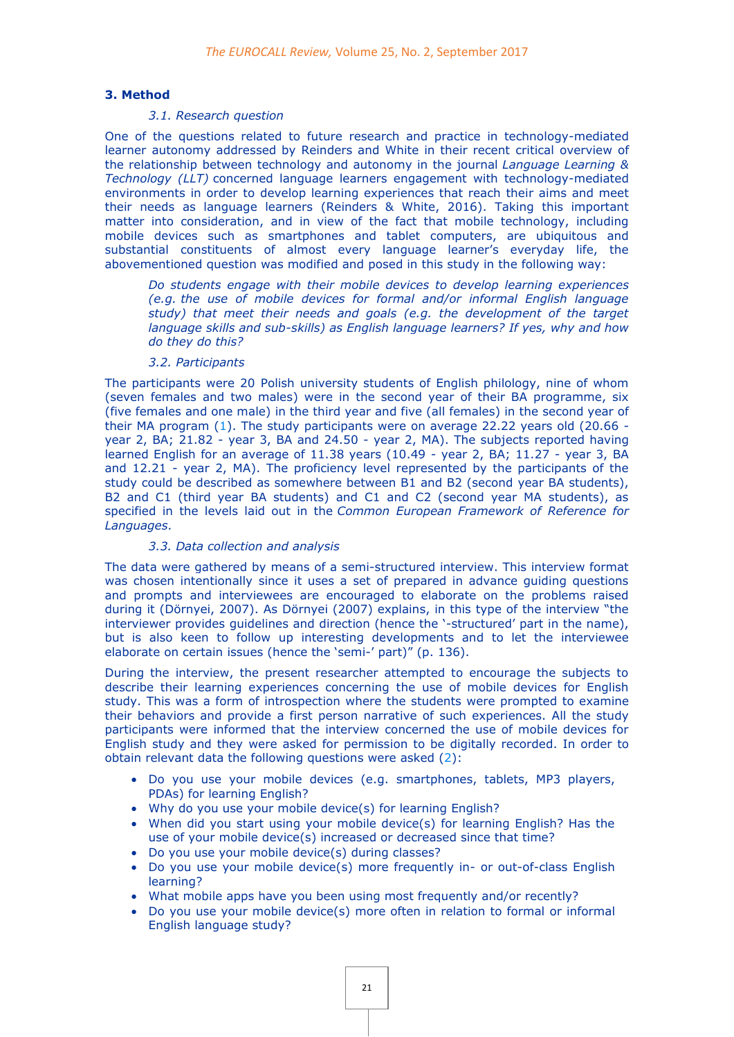#### **3. Method**

# *3.1. Research question*

One of the questions related to future research and practice in technology-mediated learner autonomy addressed by Reinders and White in their recent critical overview of the relationship between technology and autonomy in the journal *Language Learning & Technology (LLT)* concerned language learners engagement with technology-mediated environments in order to develop learning experiences that reach their aims and meet their needs as language learners (Reinders & White, 2016). Taking this important matter into consideration, and in view of the fact that mobile technology, including mobile devices such as smartphones and tablet computers, are ubiquitous and substantial constituents of almost every language learner's everyday life, the abovementioned question was modified and posed in this study in the following way:

*Do students engage with their mobile devices to develop learning experiences (e.g. the use of mobile devices for formal and/or informal English language study) that meet their needs and goals (e.g. the development of the target language skills and sub-skills) as English language learners? If yes, why and how do they do this?*

#### *3.2. Participants*

The participants were 20 Polish university students of English philology, nine of whom (seven females and two males) were in the second year of their BA programme, six (five females and one male) in the third year and five (all females) in the second year of their MA program [\(1\)](http://eurocall.webs.upv.es/index.php?m=menu_00&n=news_25_2#_ftn1a). The study participants were on average 22.22 years old (20.66 year 2, BA; 21.82 - year 3, BA and 24.50 - year 2, MA). The subjects reported having learned English for an average of 11.38 years (10.49 - year 2, BA; 11.27 - year 3, BA and 12.21 - year 2, MA). The proficiency level represented by the participants of the study could be described as somewhere between B1 and B2 (second year BA students), B2 and C1 (third year BA students) and C1 and C2 (second year MA students), as specified in the levels laid out in the *Common European Framework of Reference for Languages*.

#### *3.3. Data collection and analysis*

The data were gathered by means of a semi-structured interview. This interview format was chosen intentionally since it uses a set of prepared in advance guiding questions and prompts and interviewees are encouraged to elaborate on the problems raised during it (Dörnyei, 2007). As Dörnyei (2007) explains, in this type of the interview "the interviewer provides guidelines and direction (hence the '-structured' part in the name), but is also keen to follow up interesting developments and to let the interviewee elaborate on certain issues (hence the 'semi-' part)" (p. 136).

During the interview, the present researcher attempted to encourage the subjects to describe their learning experiences concerning the use of mobile devices for English study. This was a form of introspection where the students were prompted to examine their behaviors and provide a first person narrative of such experiences. All the study participants were informed that the interview concerned the use of mobile devices for English study and they were asked for permission to be digitally recorded. In order to obtain relevant data the following questions were asked [\(2\)](http://eurocall.webs.upv.es/index.php?m=menu_00&n=news_25_2#_ftn2a):

- Do you use your mobile devices (e.g. smartphones, tablets, MP3 players, PDAs) for learning English?
- Why do you use your mobile device(s) for learning English?
- When did you start using your mobile device(s) for learning English? Has the use of your mobile device(s) increased or decreased since that time?
- Do you use your mobile device(s) during classes?
- Do you use your mobile device(s) more frequently in- or out-of-class English learning?
- What mobile apps have you been using most frequently and/or recently?
- Do you use your mobile device(s) more often in relation to formal or informal English language study?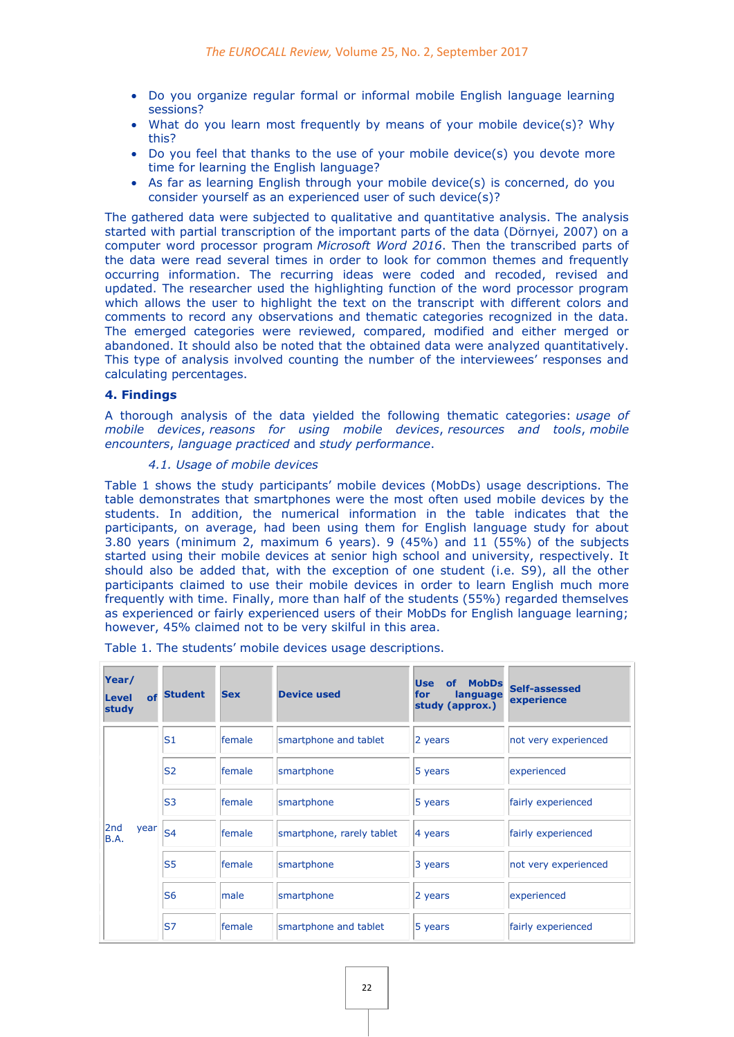- Do you organize regular formal or informal mobile English language learning sessions?
- What do you learn most frequently by means of your mobile device(s)? Why this?
- Do you feel that thanks to the use of your mobile device(s) you devote more time for learning the English language?
- As far as learning English through your mobile device(s) is concerned, do you consider yourself as an experienced user of such device(s)?

The gathered data were subjected to qualitative and quantitative analysis. The analysis started with partial transcription of the important parts of the data (Dörnyei, 2007) on a computer word processor program *Microsoft Word 2016*. Then the transcribed parts of the data were read several times in order to look for common themes and frequently occurring information. The recurring ideas were coded and recoded, revised and updated. The researcher used the highlighting function of the word processor program which allows the user to highlight the text on the transcript with different colors and comments to record any observations and thematic categories recognized in the data. The emerged categories were reviewed, compared, modified and either merged or abandoned. It should also be noted that the obtained data were analyzed quantitatively. This type of analysis involved counting the number of the interviewees' responses and calculating percentages.

# **4. Findings**

A thorough analysis of the data yielded the following thematic categories: *usage of mobile devices*, *reasons for using mobile devices*, *resources and tools*, *mobile encounters*, *language practiced* and *study performance*.

# *4.1. Usage of mobile devices*

Table 1 shows the study participants' mobile devices (MobDs) usage descriptions. The table demonstrates that smartphones were the most often used mobile devices by the students. In addition, the numerical information in the table indicates that the participants, on average, had been using them for English language study for about 3.80 years (minimum 2, maximum 6 years). 9 (45%) and 11 (55%) of the subjects started using their mobile devices at senior high school and university, respectively. It should also be added that, with the exception of one student (i.e. S9), all the other participants claimed to use their mobile devices in order to learn English much more frequently with time. Finally, more than half of the students (55%) regarded themselves as experienced or fairly experienced users of their MobDs for English language learning; however, 45% claimed not to be very skilful in this area.

| Year/<br>of<br><b>Level</b><br>study | <b>Student</b> | <b>Sex</b> | <b>Device used</b>        | <b>Use</b><br>MobDs<br><b>of</b><br>for<br>language<br>study (approx.) | Self-assessed<br>experience |
|--------------------------------------|----------------|------------|---------------------------|------------------------------------------------------------------------|-----------------------------|
| 2nd<br>year<br><b>B.A.</b>           | S <sub>1</sub> | female     | smartphone and tablet     | 2 years                                                                | not very experienced        |
|                                      | <b>S2</b>      | female     | smartphone                | 5 years                                                                | experienced                 |
|                                      | S <sub>3</sub> | female     | smartphone                | 5 years                                                                | fairly experienced          |
|                                      | S <sub>4</sub> | female     | smartphone, rarely tablet | 4 years                                                                | fairly experienced          |
|                                      | S <sub>5</sub> | female     | smartphone                | 3 years                                                                | not very experienced        |
|                                      | S <sub>6</sub> | male       | smartphone                | 2 years                                                                | experienced                 |
|                                      | <b>S7</b>      | lfemale    | smartphone and tablet     | 5 years                                                                | fairly experienced          |

Table 1. The students' mobile devices usage descriptions.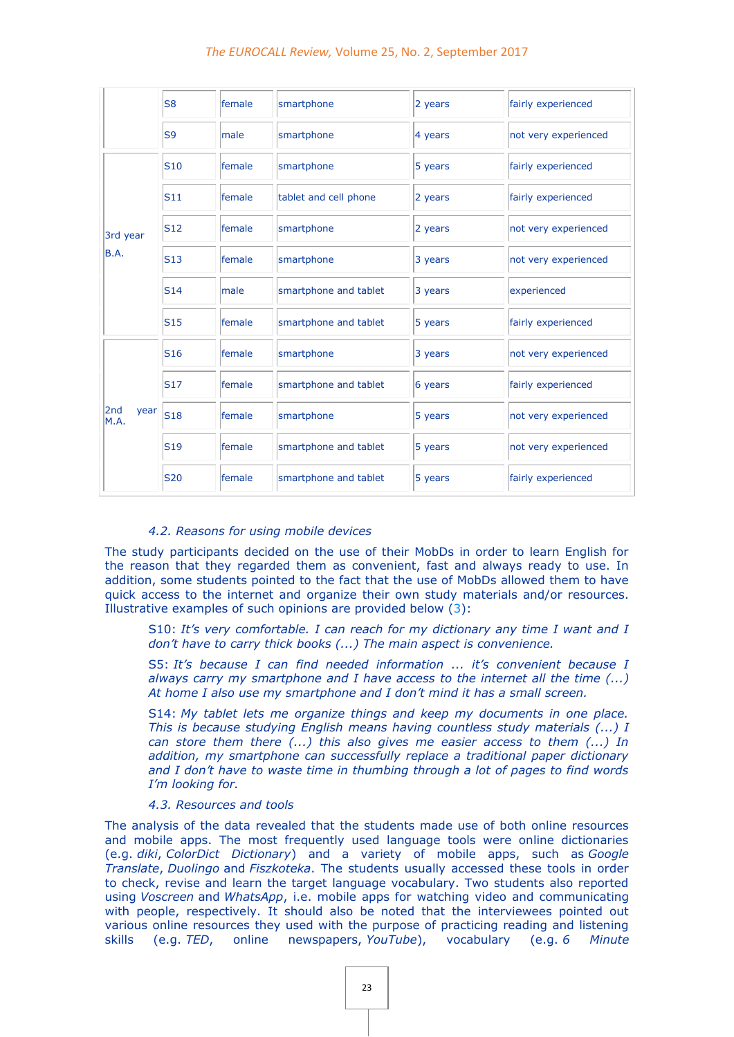#### *The EUROCALL Review,* Volume 25, No. 2, September 2017

|                     | S <sub>8</sub>  | female | smartphone            | 2 years | fairly experienced   |
|---------------------|-----------------|--------|-----------------------|---------|----------------------|
|                     | S <sub>9</sub>  | male   | smartphone            | 4 years | not very experienced |
| 3rd year<br>B.A.    | <b>S10</b>      | female | smartphone            | 5 years | fairly experienced   |
|                     | S11             | female | tablet and cell phone | 2 years | fairly experienced   |
|                     | <b>S12</b>      | female | smartphone            | 2 years | not very experienced |
|                     | S13             | female | smartphone            | 3 years | not very experienced |
|                     | S14             | male   | smartphone and tablet | 3 years | experienced          |
|                     | <b>S15</b>      | female | smartphone and tablet | 5 years | fairly experienced   |
| 2nd<br>year<br>M.A. | S <sub>16</sub> | female | smartphone            | 3 years | not very experienced |
|                     | <b>S17</b>      | female | smartphone and tablet | 6 years | fairly experienced   |
|                     | <b>S18</b>      | female | smartphone            | 5 years | not very experienced |
|                     | S <sub>19</sub> | female | smartphone and tablet | 5 years | not very experienced |
|                     | <b>S20</b>      | female | smartphone and tablet | 5 years | fairly experienced   |

#### *4.2. Reasons for using mobile devices*

The study participants decided on the use of their MobDs in order to learn English for the reason that they regarded them as convenient, fast and always ready to use. In addition, some students pointed to the fact that the use of MobDs allowed them to have quick access to the internet and organize their own study materials and/or resources. Illustrative examples of such opinions are provided below [\(3\)](http://eurocall.webs.upv.es/index.php?m=menu_00&n=news_25_2#_ftn3a):

S10: *It's very comfortable. I can reach for my dictionary any time I want and I don't have to carry thick books (...) The main aspect is convenience.*

S5: *It's because I can find needed information ... it's convenient because I always carry my smartphone and I have access to the internet all the time (...) At home I also use my smartphone and I don't mind it has a small screen.*

S14: *My tablet lets me organize things and keep my documents in one place. This is because studying English means having countless study materials (...) I can store them there (...) this also gives me easier access to them (...) In addition, my smartphone can successfully replace a traditional paper dictionary and I don't have to waste time in thumbing through a lot of pages to find words I'm looking for.*

#### *4.3. Resources and tools*

The analysis of the data revealed that the students made use of both online resources and mobile apps. The most frequently used language tools were online dictionaries (e.g. *diki*, *ColorDict Dictionary*) and a variety of mobile apps, such as *Google Translate*, *Duolingo* and *Fiszkoteka*. The students usually accessed these tools in order to check, revise and learn the target language vocabulary. Two students also reported using *Voscreen* and *WhatsApp*, i.e. mobile apps for watching video and communicating with people, respectively. It should also be noted that the interviewees pointed out various online resources they used with the purpose of practicing reading and listening skills (e.g. *TED*, online newspapers, *YouTube*), vocabulary (e.g. *6 Minute*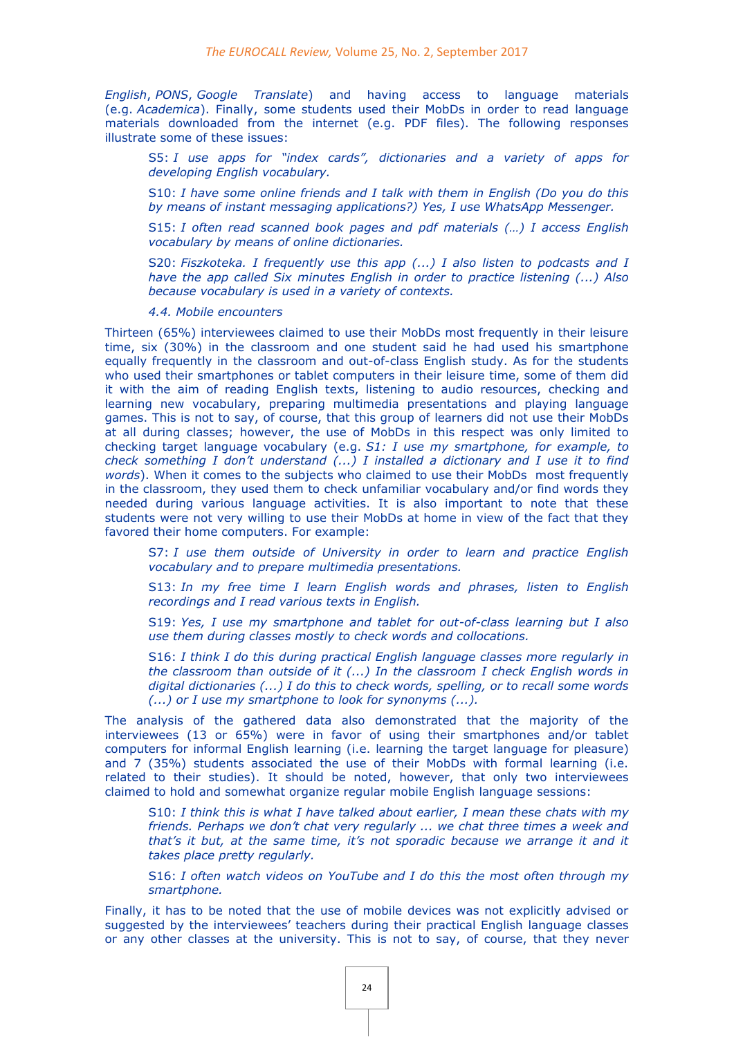*English*, *PONS*, *Google Translate*) and having access to language materials (e.g. *Academica*). Finally, some students used their MobDs in order to read language materials downloaded from the internet (e.g. PDF files). The following responses illustrate some of these issues:

S5: *I use apps for "index cards", dictionaries and a variety of apps for developing English vocabulary.*

S10: *I have some online friends and I talk with them in English (Do you do this by means of instant messaging applications?) Yes, I use WhatsApp Messenger.*

S15: *I often read scanned book pages and pdf materials (…) I access English vocabulary by means of online dictionaries.*

S20: *Fiszkoteka. I frequently use this app (...) I also listen to podcasts and I have the app called Six minutes English in order to practice listening (...) Also because vocabulary is used in a variety of contexts.*

*4.4. Mobile encounters*

Thirteen (65%) interviewees claimed to use their MobDs most frequently in their leisure time, six (30%) in the classroom and one student said he had used his smartphone equally frequently in the classroom and out-of-class English study. As for the students who used their smartphones or tablet computers in their leisure time, some of them did it with the aim of reading English texts, listening to audio resources, checking and learning new vocabulary, preparing multimedia presentations and playing language games. This is not to say, of course, that this group of learners did not use their MobDs at all during classes; however, the use of MobDs in this respect was only limited to checking target language vocabulary (e.g. *S1: I use my smartphone, for example, to check something I don't understand (...) I installed a dictionary and I use it to find words*). When it comes to the subjects who claimed to use their MobDs most frequently in the classroom, they used them to check unfamiliar vocabulary and/or find words they needed during various language activities. It is also important to note that these students were not very willing to use their MobDs at home in view of the fact that they favored their home computers. For example:

S7: *I use them outside of University in order to learn and practice English vocabulary and to prepare multimedia presentations.*

S13: *In my free time I learn English words and phrases, listen to English recordings and I read various texts in English.*

S19: *Yes, I use my smartphone and tablet for out-of-class learning but I also use them during classes mostly to check words and collocations.*

S16: *I think I do this during practical English language classes more regularly in the classroom than outside of it (...) In the classroom I check English words in digital dictionaries (...) I do this to check words, spelling, or to recall some words (...) or I use my smartphone to look for synonyms (...).*

The analysis of the gathered data also demonstrated that the majority of the interviewees (13 or 65%) were in favor of using their smartphones and/or tablet computers for informal English learning (i.e. learning the target language for pleasure) and 7 (35%) students associated the use of their MobDs with formal learning (i.e. related to their studies). It should be noted, however, that only two interviewees claimed to hold and somewhat organize regular mobile English language sessions:

S10: *I think this is what I have talked about earlier, I mean these chats with my friends. Perhaps we don't chat very regularly ... we chat three times a week and that's it but, at the same time, it's not sporadic because we arrange it and it takes place pretty regularly.*

S16: *I often watch videos on YouTube and I do this the most often through my smartphone.*

Finally, it has to be noted that the use of mobile devices was not explicitly advised or suggested by the interviewees' teachers during their practical English language classes or any other classes at the university. This is not to say, of course, that they never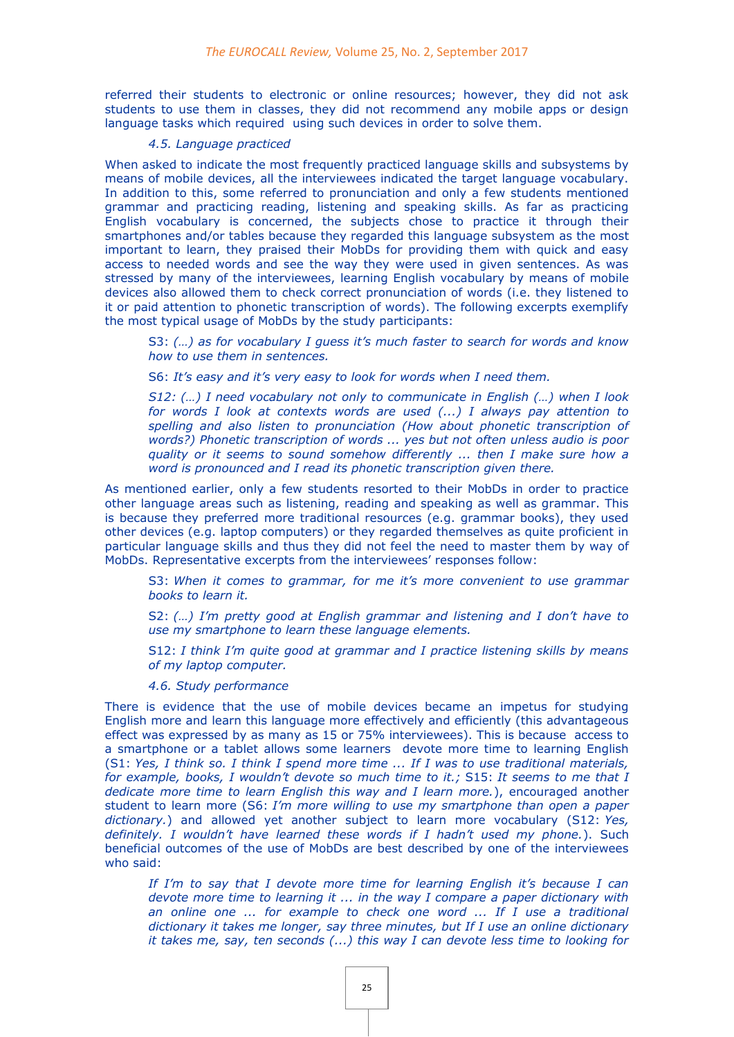referred their students to electronic or online resources; however, they did not ask students to use them in classes, they did not recommend any mobile apps or design language tasks which required using such devices in order to solve them.

#### *4.5. Language practiced*

When asked to indicate the most frequently practiced language skills and subsystems by means of mobile devices, all the interviewees indicated the target language vocabulary. In addition to this, some referred to pronunciation and only a few students mentioned grammar and practicing reading, listening and speaking skills. As far as practicing English vocabulary is concerned, the subjects chose to practice it through their smartphones and/or tables because they regarded this language subsystem as the most important to learn, they praised their MobDs for providing them with quick and easy access to needed words and see the way they were used in given sentences. As was stressed by many of the interviewees, learning English vocabulary by means of mobile devices also allowed them to check correct pronunciation of words (i.e. they listened to it or paid attention to phonetic transcription of words). The following excerpts exemplify the most typical usage of MobDs by the study participants:

S3: *(…) as for vocabulary I guess it's much faster to search for words and know how to use them in sentences.*

S6: *It's easy and it's very easy to look for words when I need them.*

*S12: (…) I need vocabulary not only to communicate in English (…) when I look for words I look at contexts words are used (...) I always pay attention to spelling and also listen to pronunciation (How about phonetic transcription of words?) Phonetic transcription of words ... yes but not often unless audio is poor quality or it seems to sound somehow differently ... then I make sure how a word is pronounced and I read its phonetic transcription given there.*

As mentioned earlier, only a few students resorted to their MobDs in order to practice other language areas such as listening, reading and speaking as well as grammar. This is because they preferred more traditional resources (e.g. grammar books), they used other devices (e.g. laptop computers) or they regarded themselves as quite proficient in particular language skills and thus they did not feel the need to master them by way of MobDs. Representative excerpts from the interviewees' responses follow:

S3: *When it comes to grammar, for me it's more convenient to use grammar books to learn it.*

S2: *(…) I'm pretty good at English grammar and listening and I don't have to use my smartphone to learn these language elements.*

S12: *I think I'm quite good at grammar and I practice listening skills by means of my laptop computer.*

*4.6. Study performance*

There is evidence that the use of mobile devices became an impetus for studying English more and learn this language more effectively and efficiently (this advantageous effect was expressed by as many as 15 or 75% interviewees). This is because access to a smartphone or a tablet allows some learners devote more time to learning English (S1: *Yes, I think so. I think I spend more time ... If I was to use traditional materials, for example, books, I wouldn't devote so much time to it.;* S15: *It seems to me that I dedicate more time to learn English this way and I learn more.*), encouraged another student to learn more (S6: *I'm more willing to use my smartphone than open a paper dictionary.*) and allowed yet another subject to learn more vocabulary (S12: *Yes, definitely. I wouldn't have learned these words if I hadn't used my phone.*). Such beneficial outcomes of the use of MobDs are best described by one of the interviewees who said:

*If I'm to say that I devote more time for learning English it's because I can devote more time to learning it ... in the way I compare a paper dictionary with*  an online one ... for example to check one word ... If I use a traditional *dictionary it takes me longer, say three minutes, but If I use an online dictionary it takes me, say, ten seconds (...) this way I can devote less time to looking for*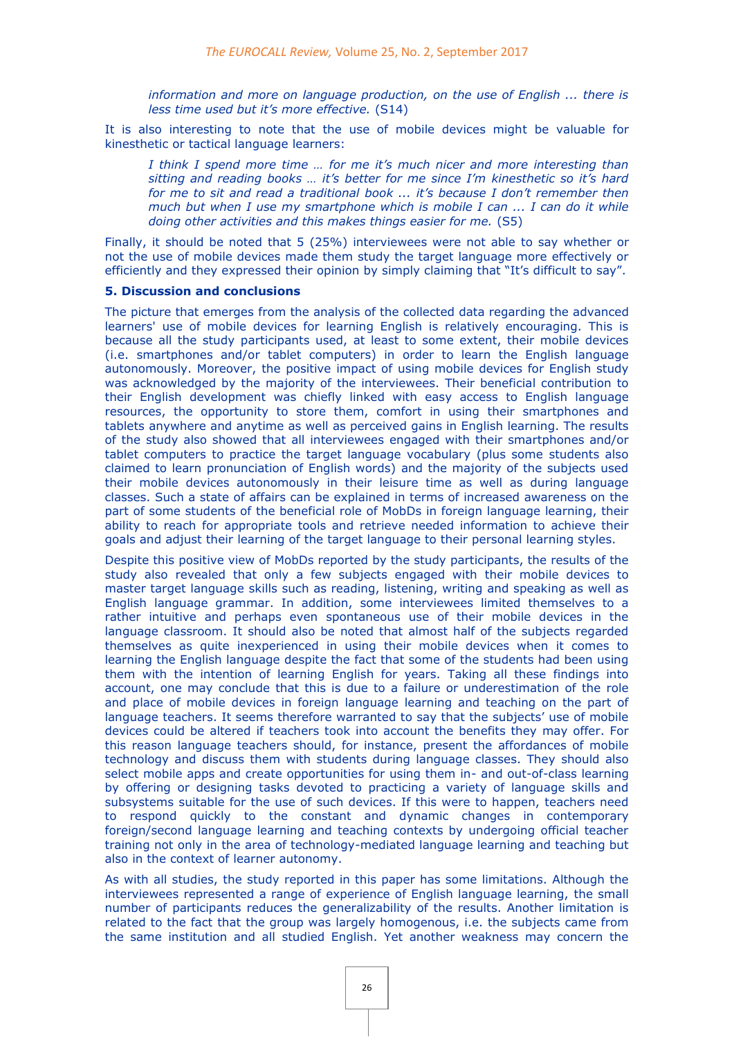*information and more on language production, on the use of English ... there is less time used but it's more effective.* (S14)

It is also interesting to note that the use of mobile devices might be valuable for kinesthetic or tactical language learners:

*I think I spend more time … for me it's much nicer and more interesting than sitting and reading books … it's better for me since I'm kinesthetic so it's hard for me to sit and read a traditional book ... it's because I don't remember then much but when I use my smartphone which is mobile I can ... I can do it while doing other activities and this makes things easier for me.* (S5)

Finally, it should be noted that 5 (25%) interviewees were not able to say whether or not the use of mobile devices made them study the target language more effectively or efficiently and they expressed their opinion by simply claiming that "It's difficult to say".

# **5. Discussion and conclusions**

The picture that emerges from the analysis of the collected data regarding the advanced learners' use of mobile devices for learning English is relatively encouraging. This is because all the study participants used, at least to some extent, their mobile devices (i.e. smartphones and/or tablet computers) in order to learn the English language autonomously. Moreover, the positive impact of using mobile devices for English study was acknowledged by the majority of the interviewees. Their beneficial contribution to their English development was chiefly linked with easy access to English language resources, the opportunity to store them, comfort in using their smartphones and tablets anywhere and anytime as well as perceived gains in English learning. The results of the study also showed that all interviewees engaged with their smartphones and/or tablet computers to practice the target language vocabulary (plus some students also claimed to learn pronunciation of English words) and the majority of the subjects used their mobile devices autonomously in their leisure time as well as during language classes. Such a state of affairs can be explained in terms of increased awareness on the part of some students of the beneficial role of MobDs in foreign language learning, their ability to reach for appropriate tools and retrieve needed information to achieve their goals and adjust their learning of the target language to their personal learning styles.

Despite this positive view of MobDs reported by the study participants, the results of the study also revealed that only a few subjects engaged with their mobile devices to master target language skills such as reading, listening, writing and speaking as well as English language grammar. In addition, some interviewees limited themselves to a rather intuitive and perhaps even spontaneous use of their mobile devices in the language classroom. It should also be noted that almost half of the subjects regarded themselves as quite inexperienced in using their mobile devices when it comes to learning the English language despite the fact that some of the students had been using them with the intention of learning English for years. Taking all these findings into account, one may conclude that this is due to a failure or underestimation of the role and place of mobile devices in foreign language learning and teaching on the part of language teachers. It seems therefore warranted to say that the subjects' use of mobile devices could be altered if teachers took into account the benefits they may offer. For this reason language teachers should, for instance, present the affordances of mobile technology and discuss them with students during language classes. They should also select mobile apps and create opportunities for using them in- and out-of-class learning by offering or designing tasks devoted to practicing a variety of language skills and subsystems suitable for the use of such devices. If this were to happen, teachers need to respond quickly to the constant and dynamic changes in contemporary foreign/second language learning and teaching contexts by undergoing official teacher training not only in the area of technology-mediated language learning and teaching but also in the context of learner autonomy.

As with all studies, the study reported in this paper has some limitations. Although the interviewees represented a range of experience of English language learning, the small number of participants reduces the generalizability of the results. Another limitation is related to the fact that the group was largely homogenous, i.e. the subjects came from the same institution and all studied English. Yet another weakness may concern the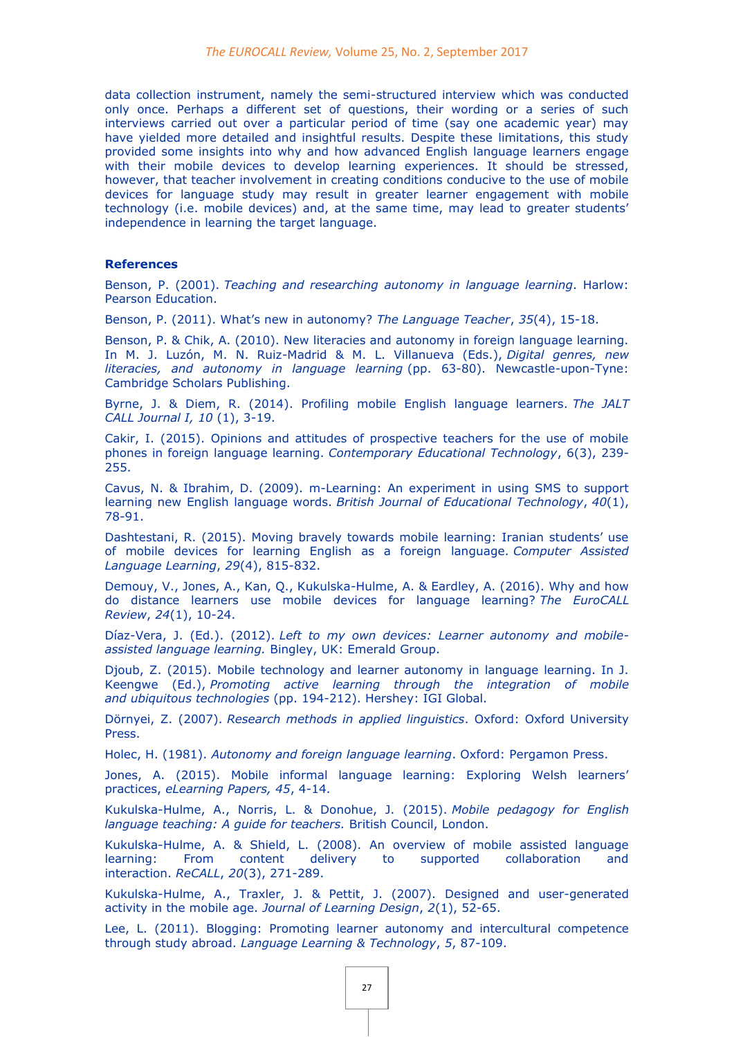data collection instrument, namely the semi-structured interview which was conducted only once. Perhaps a different set of questions, their wording or a series of such interviews carried out over a particular period of time (say one academic year) may have yielded more detailed and insightful results. Despite these limitations, this study provided some insights into why and how advanced English language learners engage with their mobile devices to develop learning experiences. It should be stressed, however, that teacher involvement in creating conditions conducive to the use of mobile devices for language study may result in greater learner engagement with mobile technology (i.e. mobile devices) and, at the same time, may lead to greater students' independence in learning the target language.

#### **References**

Benson, P. (2001). *Teaching and researching autonomy in language learning*. Harlow: Pearson Education.

Benson, P. (2011). What's new in autonomy? *The Language Teacher*, *35*(4), 15-18.

Benson, P. & Chik, A. (2010). New literacies and autonomy in foreign language learning. In M. J. Luzón, M. N. Ruiz-Madrid & M. L. Villanueva (Eds.), *Digital genres, new literacies, and autonomy in language learning* (pp. 63-80). Newcastle-upon-Tyne: Cambridge Scholars Publishing.

Byrne, J. & Diem, R. (2014). Profiling mobile English language learners. *The JALT CALL Journal I, 10* (1), 3-19.

Cakir, I. (2015). Opinions and attitudes of prospective teachers for the use of mobile phones in foreign language learning. *Contemporary Educational Technology*, 6(3), 239- 255.

Cavus, N. & Ibrahim, D. (2009). m-Learning: An experiment in using SMS to support learning new English language words. *British Journal of Educational Technology*, *40*(1), 78-91.

Dashtestani, R. (2015). Moving bravely towards mobile learning: Iranian students' use of mobile devices for learning English as a foreign language. *Computer Assisted Language Learning*, *29*(4), 815-832.

Demouy, V., Jones, A., Kan, Q., Kukulska-Hulme, A. & Eardley, A. (2016). Why and how do distance learners use mobile devices for language learning? *The EuroCALL Review*, *24*(1), 10-24.

Díaz-Vera, J. (Ed.). (2012). *Left to my own devices: Learner autonomy and mobileassisted language learning.* Bingley, UK: Emerald Group.

Djoub, Z. (2015). Mobile technology and learner autonomy in language learning. In J. Keengwe (Ed.), *Promoting active learning through the integration of mobile and ubiquitous technologies* (pp. 194-212). Hershey: IGI Global.

Dörnyei, Z. (2007). *Research methods in applied linguistics*. Oxford: Oxford University Press.

Holec, H. (1981). *Autonomy and foreign language learning*. Oxford: Pergamon Press.

Jones, A. (2015). Mobile informal language learning: Exploring Welsh learners' practices, *eLearning Papers, 45*, 4-14.

Kukulska-Hulme, A., Norris, L. & Donohue, J. (2015). *Mobile pedagogy for English language teaching: A guide for teachers.* British Council, London.

Kukulska-Hulme, A. & Shield, L. (2008). An overview of mobile assisted language learning: From content delivery to supported collaboration and interaction. *ReCALL*, *20*(3), 271-289.

Kukulska-Hulme, A., Traxler, J. & Pettit, J. (2007). Designed and user-generated activity in the mobile age. *Journal of Learning Design*, *2*(1), 52-65.

Lee, L. (2011). Blogging: Promoting learner autonomy and intercultural competence through study abroad. *Language Learning & Technology*, *5*, 87-109.